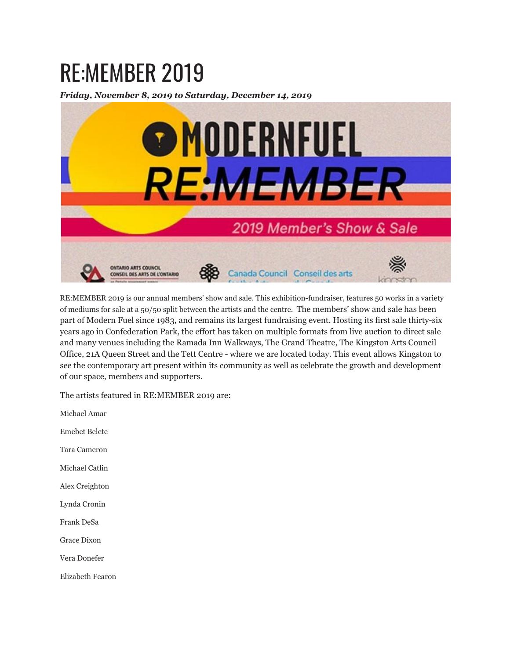## RE:MEMBER 2019

*Friday, November 8, 2019 to Saturday, December 14, 2019*



RE:MEMBER 2019 is our annual members' show and sale. This exhibition-fundraiser, features 50 works in a variety of mediums for sale at a 50/50 split between the artists and the centre. The members' show and sale has been part of Modern Fuel since 1983, and remains its largest fundraising event. Hosting its first sale thirty-six years ago in Confederation Park, the effort has taken on multiple formats from live auction to direct sale and many venues including the Ramada Inn Walkways, The Grand Theatre, The Kingston Arts Council Office, 21A Queen Street and the Tett Centre - where we are located today. This event allows Kingston to see the contemporary art present within its community as well as celebrate the growth and development of our space, members and supporters.

The artists featured in RE:MEMBER 2019 are:

Michael Amar

Emebet Belete

Tara Cameron

Michael Catlin

Alex Creighton

Lynda Cronin

Frank DeSa

Grace Dixon

Vera Donefer

Elizabeth Fearon